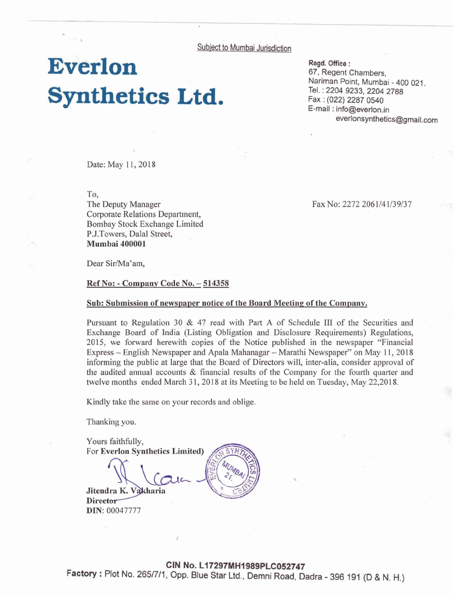Subject to Mumbai Jurisdiction

## **Everlon Synthetics Ltd.**

**Regd.** Office : 67, Regent Chambers, Narirnan Point, Mumbai - 400 021. Tel. : 2204 9233,2204 2788 Fax : (922) 2287 0540 E-mail : info@everlon.in **everlonsynthetics@gmail.com** 

Date: May 11, 2018

To,

The Deputy Manager Corporate Relations Department, Bombay Stock Exchange Limited P.J.Towers, Dalal Street, **Mumbai** 400001

Dear Sir/Ma'am,

**Ref No:** - **Companv Code No.** - **<sup>514358</sup>**

## Sub: Submission of newspaper notice of the Board Meeting of the Company.

Pursuant to Regulation 30 & 47 read with Part **A** of Schedule **111** of the Securities and Exchange Board of India (Listing Obligation and Disclosure Requirements) Regulations, 2015, we forward herewith copies of the Notice published in the newspaper "Financial Express - English Newspaper and Apala Mahanagar - Marathi Newspaper" on May 11, 2018 informing the public at large that the Board of Directors will, inter-alia, consider approval of the audited annual accounts & financial results of the Company for the fourth quarter and twelve months ended March 31, 2018 at its Meeting to be held on Tuesday, May 22,2018.

Kindly take the same on your records and oblige.

Thanking you.

Yours faithfully, For Everlon Synthetics Limited) Jitendra K. Vakharia

Director **DIN:** 00047777

**CIN No. L17297MH1989PLC052747 Factory** : Plot No. **2651711.** Opp. Blue Star Ltd.. Demni Road, Dadra - 396 191 (D & N. H.)

Fax No: 2272 2061/41/39/37